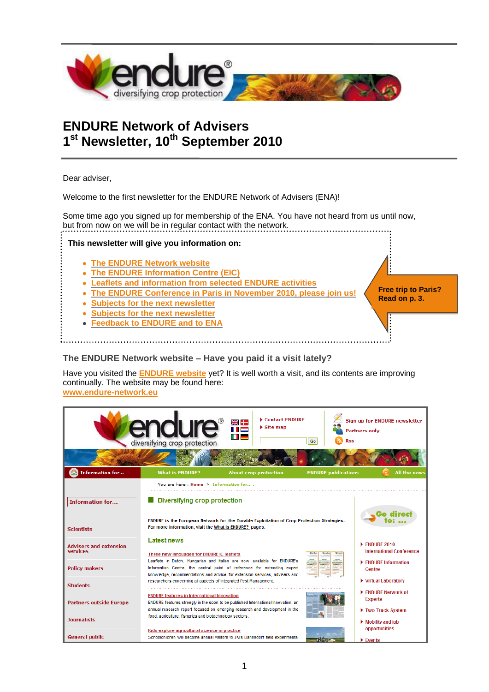

# **ENDURE Network of Advisers 1 st Newsletter, 10th September 2010**

Dear adviser,

Welcome to the first newsletter for the ENDURE Network of Advisers (ENA)!

Some time ago you signed up for membership of the ENA. You have not heard from us until now, but from now on we will be in regular contact with the network.

**This newsletter will give you information on:**

- **[The ENDURE Network website](#page-0-0)**  $\bullet$
- **[The ENDURE Information Centre \(EIC\)](#page-1-0)**
- **[Leaflets and information from selected ENDURE activities](#page-2-0)**
- **[The ENDURE Conference in Paris in November 2010, please join us!](#page-2-1)**
- **[Subjects for the next newsletter](#page-3-0)**
- **[Subjects for the next newsletter](#page-3-0)**
- **[Feedback to ENDURE and to ENA](#page-3-1)**

**Free trip to Paris? Read on p. 3.**

 $\parallel$ 

## <span id="page-0-0"></span>**The ENDURE Network website – Have you paid it a visit lately?**

Have you visited the **[ENDURE website](http://www.endure-network.eu/)** yet? It is well worth a visit, and its contents are improving continually. The website may be found here: **[www.endure-network.eu](http://www.endure-network.eu/)**

|                                           | <b>endure HE</b><br>diversifying crop protection                                                                                                                                                                                                                                                                                                                                                                                         | Contact ENDURE<br>$\triangleright$ Site map                                                | <b>Rss</b><br>Go           | <b>Sign up for ENDURE newsletter</b><br><b>Partners only</b>         |
|-------------------------------------------|------------------------------------------------------------------------------------------------------------------------------------------------------------------------------------------------------------------------------------------------------------------------------------------------------------------------------------------------------------------------------------------------------------------------------------------|--------------------------------------------------------------------------------------------|----------------------------|----------------------------------------------------------------------|
| <b>Information for</b>                    | <b>What is ENDURE?</b>                                                                                                                                                                                                                                                                                                                                                                                                                   | <b>About crop protection</b>                                                               | <b>ENDURE publications</b> | All the news                                                         |
| <b>Information for</b>                    | You are here: Home > Information for<br>Diversifying crop protection                                                                                                                                                                                                                                                                                                                                                                     | ENDURE is the European Network for the Durable Exploitation of Crop Protection Strategies. |                            |                                                                      |
| <b>Scientists</b>                         | For more information, visit the What is ENDURE? pages.                                                                                                                                                                                                                                                                                                                                                                                   |                                                                                            |                            |                                                                      |
| <b>Advisers and extension</b><br>services | <b>Latest news</b><br>Three new languages for ENDURE IC leaflets<br>Leaflets in Dutch, Hungarian and Italian are now available for ENDURE's<br>Information Centre, the central point of reference for extending expert<br>knowledge, recommendations and advice for extension services, advisers and<br>researchers concerning all aspects of Integrated Pest Management.                                                                |                                                                                            |                            | $\blacktriangleright$ FNDURF 2010<br><b>International Conference</b> |
| <b>Policy makers</b>                      |                                                                                                                                                                                                                                                                                                                                                                                                                                          |                                                                                            |                            | $\blacktriangleright$ ENDURE Information<br>Centre                   |
| <b>Students</b>                           |                                                                                                                                                                                                                                                                                                                                                                                                                                          |                                                                                            |                            | ▶ Virtual Laboratory                                                 |
| <b>Partners outside Europe</b>            | <b>ENDURE features in International Innovation</b><br>ENDURE features strongly in the soon to be published International Innovation, an<br>annual research report focused on emerging research and development in the<br>food, agriculture, fisheries and biotechnology sectors.<br>Kids explore agricultural science in practice<br>Schoolchildren will become annual visitors to JKI's Dahnsdorf field experimental<br><b>Thursday</b> |                                                                                            |                            | ENDURE Network of<br><b>Experts</b><br>Two-Track System              |
| <b>Journalists</b>                        |                                                                                                                                                                                                                                                                                                                                                                                                                                          |                                                                                            |                            | $\blacktriangleright$ Mobility and job                               |
| <b>General public</b>                     |                                                                                                                                                                                                                                                                                                                                                                                                                                          |                                                                                            |                            | opportunities<br>$\blacktriangleright$ Fvents                        |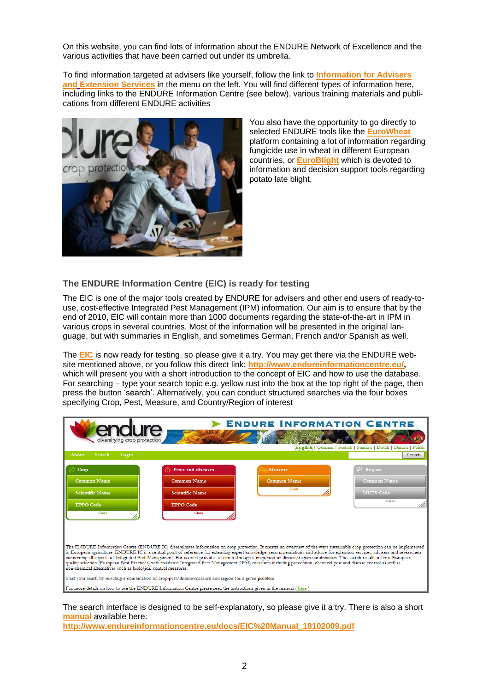On this website, you can find lots of information about the ENDURE Network of Excellence and the various activities that have been carried out under its umbrella.

To find information targeted at advisers like yourself, follow the link to **Information [for Advisers](http://www.endure-network.eu/information_for/advisers_and_extension_services)  and [Extension Services](http://www.endure-network.eu/information_for/advisers_and_extension_services)** in the menu on the left. You will find different types of information here, including links to the ENDURE Information Centre (see below), various training materials and publications from different ENDURE activities



You also have the opportunity to go directly to selected ENDURE tools like the **[EuroWheat](http://www.eurowheat.org/EuroWheat.asp)** platform containing a lot of information regarding fungicide use in wheat in different European countries, or **[EuroBlight](http://www.euroblight.net/EuroBlight.asp)** which is devoted to information and decision support tools regarding potato late blight.

## <span id="page-1-0"></span>**The ENDURE Information Centre (EIC) is ready for testing**

The EIC is one of the major tools created by ENDURE for advisers and other end users of ready-touse, cost-effective Integrated Pest Management (IPM) information. Our aim is to ensure that by the end of 2010, EIC will contain more than 1000 documents regarding the state-of-the-art in IPM in various crops in several countries. Most of the information will be presented in the original language, but with summaries in English, and sometimes German, French and/or Spanish as well.

The **[EIC](http://www.endureinformationcentre.eu/)** is now ready for testing, so please give it a try. You may get there via the ENDURE website mentioned above, or you follow this direct link: **[http://www.endureinformationcentre.eu/,](http://www.endureinformationcentre.eu/)** which will present you with a short introduction to the concept of EIC and how to use the database. For searching – type your search topic e.g. yellow rust into the box at the top right of the page, then press the button "search". Alternatively, you can conduct structured searches via the four boxes specifying Crop, Pest, Measure, and Country/Region of interest



The search interface is designed to be self-explanatory, so please give it a try. There is also a short **[manual](http://www.endureinformationcentre.eu/docs/EIC%20Manual_18102009.pdf)** available here:

**[http://www.endureinformationcentre.eu/docs/EIC%20Manual\\_18102009.pdf](http://www.endureinformationcentre.eu/docs/EIC%20Manual_18102009.pdf)**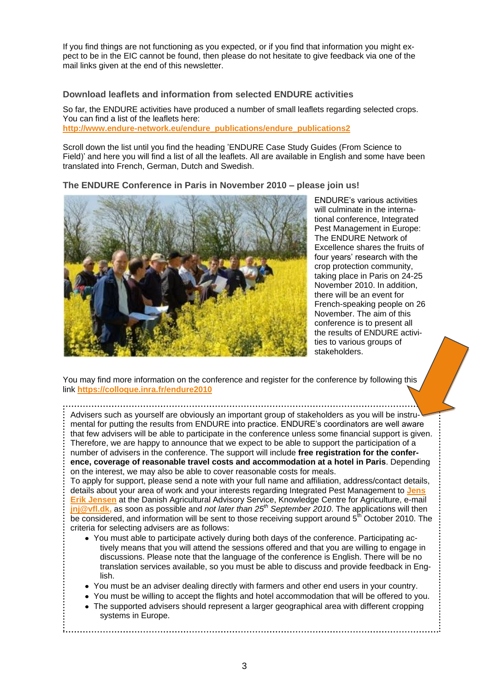If you find things are not functioning as you expected, or if you find that information you might expect to be in the EIC cannot be found, then please do not hesitate to give feedback via one of the mail links given at the end of this newsletter.

#### <span id="page-2-0"></span>**Download leaflets and information from selected ENDURE activities**

So far, the ENDURE activities have produced a number of small leaflets regarding selected crops. You can find a list of the leaflets here: **[http://www.endure-network.eu/endure\\_publications/endure\\_publications2](http://www.endure-network.eu/endure_publications/endure_publications2)**

Scroll down the list until you find the heading "ENDURE Case Study Guides (From Science to Field)' and here you will find a list of all the leaflets. All are available in English and some have been translated into French, German, Dutch and Swedish.

<span id="page-2-1"></span>**The ENDURE Conference in Paris in November 2010 – please join us!**



ENDURE"s various activities will culminate in the international conference, Integrated Pest Management in Europe: The ENDURE Network of Excellence shares the fruits of four years' research with the crop protection community, taking place in Paris on 24-25 November 2010. In addition, there will be an event for French-speaking people on 26 November. The aim of this conference is to present all the results of ENDURE activities to various groups of stakeholders.

You may find more information on the conference and register for the conference by following this link **<https://colloque.inra.fr/endure2010>**

Advisers such as yourself are obviously an important group of stakeholders as you will be instrumental for putting the results from ENDURE into practice. ENDURE"s coordinators are well aware that few advisers will be able to participate in the conference unless some financial support is given. Therefore, we are happy to announce that we expect to be able to support the participation of a number of advisers in the conference. The support will include **free registration for the conference, coverage of reasonable travel costs and accommodation at a hotel in Paris**. Depending on the interest, we may also be able to cover reasonable costs for meals.

To apply for support, please send a note with your full name and affiliation, address/contact details, details about your area of work and your interests regarding Integrated Pest Management to **[Jens](mailto:jnj@vfl.dk)  [Erik Jensen](mailto:jnj@vfl.dk)** at the Danish Agricultural Advisory Service, Knowledge Centre for Agriculture, e-mail **[jnj@vfl.dk,](mailto:jnj@vfl.dk)** as soon as possible and *not later than 25th September 2010*. The applications will then be considered, and information will be sent to those receiving support around  $5<sup>th</sup>$  October 2010. The criteria for selecting advisers are as follows:

- You must able to participate actively during both days of the conference. Participating actively means that you will attend the sessions offered and that you are willing to engage in discussions. Please note that the language of the conference is English. There will be no translation services available, so you must be able to discuss and provide feedback in English.
- You must be an adviser dealing directly with farmers and other end users in your country.
- You must be willing to accept the flights and hotel accommodation that will be offered to you.
- The supported advisers should represent a larger geographical area with different cropping systems in Europe.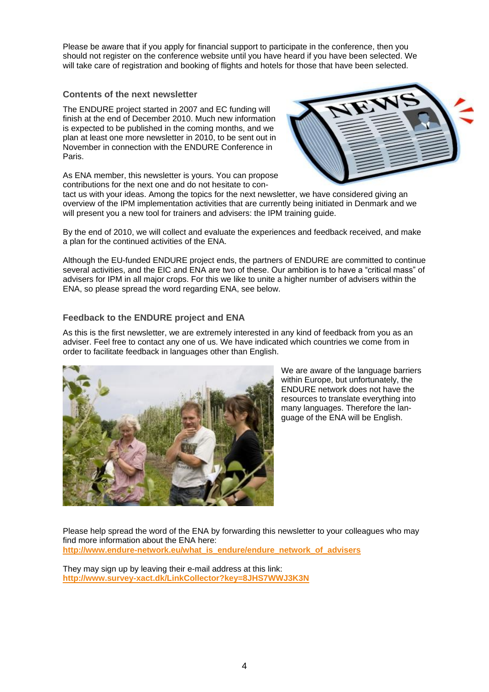Please be aware that if you apply for financial support to participate in the conference, then you should not register on the conference website until you have heard if you have been selected. We will take care of registration and booking of flights and hotels for those that have been selected.

#### <span id="page-3-0"></span>**Contents of the next newsletter**

The ENDURE project started in 2007 and EC funding will finish at the end of December 2010. Much new information is expected to be published in the coming months, and we plan at least one more newsletter in 2010, to be sent out in November in connection with the ENDURE Conference in Paris.



As ENA member, this newsletter is yours. You can propose contributions for the next one and do not hesitate to con-

tact us with your ideas. Among the topics for the next newsletter, we have considered giving an overview of the IPM implementation activities that are currently being initiated in Denmark and we will present you a new tool for trainers and advisers: the IPM training guide.

By the end of 2010, we will collect and evaluate the experiences and feedback received, and make a plan for the continued activities of the ENA.

Although the EU-funded ENDURE project ends, the partners of ENDURE are committed to continue several activities, and the EIC and ENA are two of these. Our ambition is to have a "critical mass" of advisers for IPM in all major crops. For this we like to unite a higher number of advisers within the ENA, so please spread the word regarding ENA, see below.

### <span id="page-3-1"></span>**Feedback to the ENDURE project and ENA**

As this is the first newsletter, we are extremely interested in any kind of feedback from you as an adviser. Feel free to contact any one of us. We have indicated which countries we come from in order to facilitate feedback in languages other than English.



We are aware of the language barriers within Europe, but unfortunately, the ENDURE network does not have the resources to translate everything into many languages. Therefore the language of the ENA will be English.

Please help spread the word of the ENA by forwarding this newsletter to your colleagues who may find more information about the ENA here: **[http://www.endure-network.eu/what\\_is\\_endure/endure\\_network\\_of\\_advisers](http://www.endure-network.eu/what_is_endure/endure_network_of_advisers)**

They may sign up by leaving their e-mail address at this link: **<http://www.survey-xact.dk/LinkCollector?key=8JHS7WWJ3K3N>**